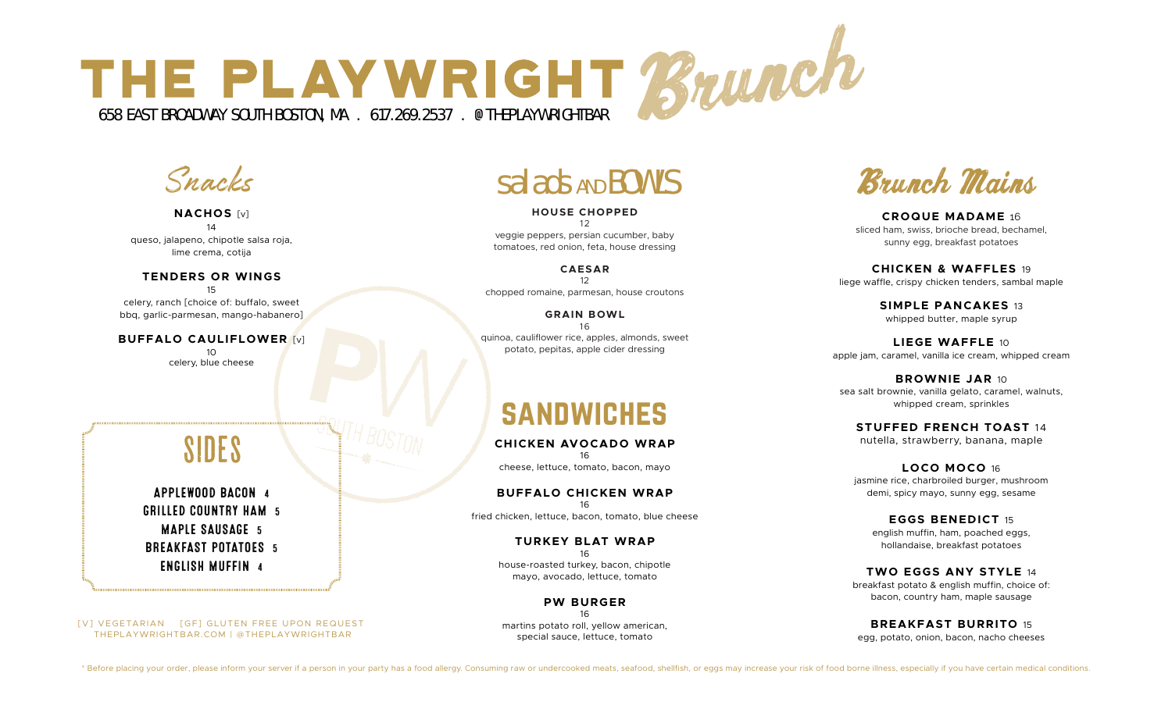

Snacks

#### **NACHOS** [v] 14 queso, jalapeno, chipotle salsa roja, lime crema, cotija

#### **TENDERS OR WINGS** 15

celery, ranch [choice of: buffalo, sweet bbq, garlic-parmesan, mango-habanero]

**BUFFALO CAULIFLOWER** [v] 10 celery, blue cheese

**HOUSE CHOPPED**  12 veggie peppers, persian cucumber, baby tomatoes, red onion, feta, house dressing

**CAESAR** 12 chopped romaine, parmesan, house croutons

**GRAIN BOWL** 16 quinoa, cauliflower rice, apples, almonds, sweet potato, pepitas, apple cider dressing

# sandwiches

**CHICKEN AVOCADO WRAP**  16 cheese, lettuce, tomato, bacon, mayo

**BUFFALO CHICKEN WRAP** 16 fried chicken, lettuce, bacon, tomato, blue cheese

> **TURKEY BLAT WRAP** 16 house-roasted turkey, bacon, chipotle mayo, avocado, lettuce, tomato

**PW BURGER** 16 martins potato roll, yellow american, special sauce, lettuce, tomato

Salads AND BOWLS Brunch Mains

**CROQUE MADAME** 16 sliced ham, swiss, brioche bread, bechamel, sunny egg, breakfast potatoes

**CHICKEN & WAFFLES** 19 liege waffle, crispy chicken tenders, sambal maple

> **SIMPLE PANCAKES** 13 whipped butter, maple syrup

**LIEGE WAFFLE** 10 apple jam, caramel, vanilla ice cream, whipped cream

**BROWNIE JAR** 10 sea salt brownie, vanilla gelato, caramel, walnuts, whipped cream, sprinkles

**STUFFED FRENCH TOAST** 14 nutella, strawberry, banana, maple

**LOCO MOCO** 16 jasmine rice, charbroiled burger, mushroom demi, spicy mayo, sunny egg, sesame

**EGGS BENEDICT** 15 english muffin, ham, poached eggs, hollandaise, breakfast potatoes

**TWO EGGS ANY STYLE** 14 breakfast potato & english muffin, choice of: bacon, country ham, maple sausage

**BREAKFAST BURRITO** 15 egg, potato, onion, bacon, nacho cheeses

# **SIDES**

APPLEWOOD BACON 4 GRILLED COUNTRY HAM 5 MAPLE SAUSAGE 5 BREAKFAST POTATOES 5 ENGLISH MUFFIN 4

 THEPLAYWRIGHTBAR.COM | @THEPLAYWRIGHTBAR [V] VEGETARIAN [GF] GLUTEN FREE UPON REQUEST

\* Before placing your order, please inform your server if a person in your party has a food allergy. Consuming raw or undercooked meats, seafood, shellfish, or eggs may increase your risk of food borne illness, especially